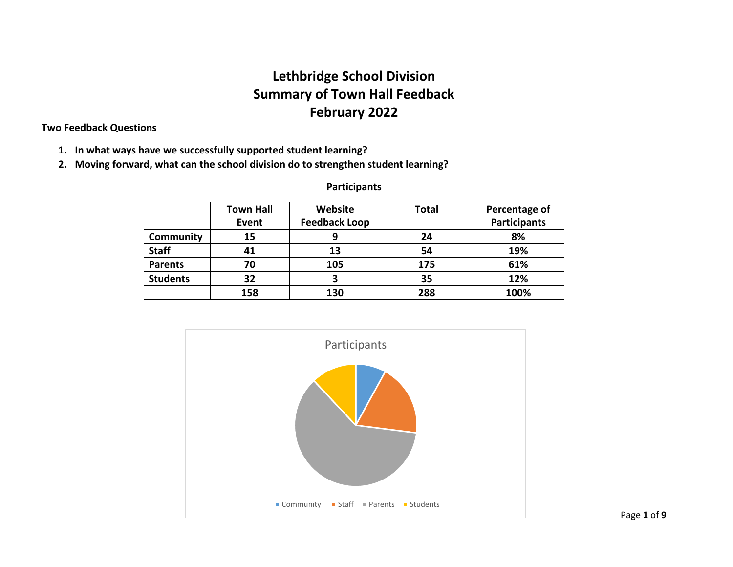# **Lethbridge School Division Summary of Town Hall Feedback February 2022**

# **Two Feedback Questions**

- **1. In what ways have we successfully supported student learning?**
- **2. Moving forward, what can the school division do to strengthen student learning?**

|                 | <b>Town Hall</b> | Website              | <b>Total</b> | Percentage of       |
|-----------------|------------------|----------------------|--------------|---------------------|
|                 | Event            | <b>Feedback Loop</b> |              | <b>Participants</b> |
| Community       | 15               |                      | 24           | 8%                  |
| <b>Staff</b>    | 41               | 13                   | 54           | 19%                 |
| <b>Parents</b>  | 70               | 105                  | 175          | 61%                 |
| <b>Students</b> | 32               | 3                    | 35           | 12%                 |
|                 | 158              | 130                  | 288          | 100%                |

# **Participants**

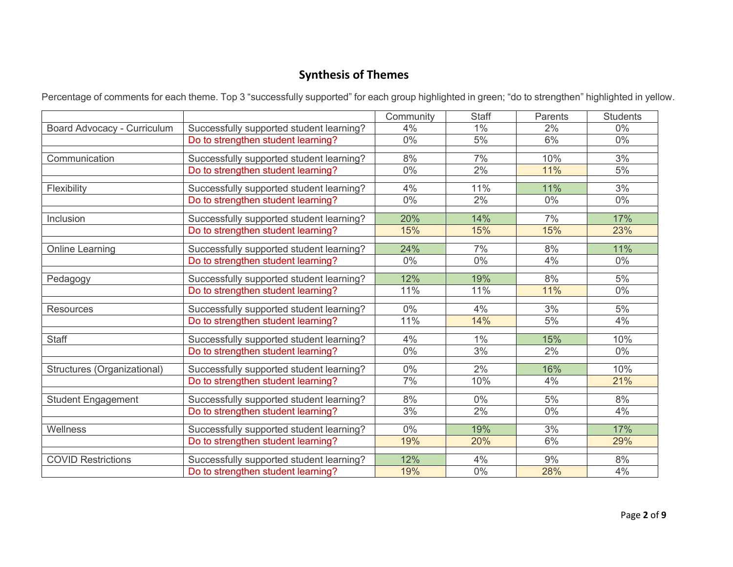# **Synthesis of Themes**

Percentage of comments for each theme. Top 3 "successfully supported" for each group highlighted in green; "do to strengthen" highlighted in yellow.

|                             |                                          | Community | <b>Staff</b> | Parents | <b>Students</b> |
|-----------------------------|------------------------------------------|-----------|--------------|---------|-----------------|
| Board Advocacy - Curriculum | Successfully supported student learning? | 4%        | $1\%$        | 2%      | $0\%$           |
|                             | Do to strengthen student learning?       | $0\%$     | 5%           | 6%      | $0\%$           |
| Communication               | Successfully supported student learning? | 8%        | 7%           | 10%     | 3%              |
|                             | Do to strengthen student learning?       | 0%        | 2%           | 11%     | 5%              |
| Flexibility                 | Successfully supported student learning? | 4%        | 11%          | 11%     | 3%              |
|                             | Do to strengthen student learning?       | $0\%$     | 2%           | $0\%$   | $0\%$           |
| Inclusion                   | Successfully supported student learning? | 20%       | 14%          | 7%      | 17%             |
|                             | Do to strengthen student learning?       | 15%       | 15%          | 15%     | 23%             |
| <b>Online Learning</b>      | Successfully supported student learning? | 24%       | 7%           | 8%      | 11%             |
|                             | Do to strengthen student learning?       | $0\%$     | $0\%$        | 4%      | $0\%$           |
| Pedagogy                    | Successfully supported student learning? | 12%       | 19%          | 8%      | 5%              |
|                             | Do to strengthen student learning?       | 11%       | 11%          | 11%     | $0\%$           |
| <b>Resources</b>            | Successfully supported student learning? | $0\%$     | 4%           | 3%      | 5%              |
|                             | Do to strengthen student learning?       | 11%       | 14%          | 5%      | 4%              |
| <b>Staff</b>                | Successfully supported student learning? | 4%        | $1\%$        | 15%     | 10%             |
|                             | Do to strengthen student learning?       | 0%        | 3%           | 2%      | $0\%$           |
| Structures (Organizational) | Successfully supported student learning? | $0\%$     | 2%           | 16%     | 10%             |
|                             | Do to strengthen student learning?       | 7%        | 10%          | 4%      | 21%             |
| <b>Student Engagement</b>   | Successfully supported student learning? | 8%        | $0\%$        | 5%      | 8%              |
|                             | Do to strengthen student learning?       | 3%        | 2%           | $0\%$   | 4%              |
| Wellness                    | Successfully supported student learning? | 0%        | 19%          | 3%      | 17%             |
|                             | Do to strengthen student learning?       | 19%       | 20%          | 6%      | 29%             |
| <b>COVID Restrictions</b>   | Successfully supported student learning? | 12%       | 4%           | 9%      | 8%              |
|                             | Do to strengthen student learning?       | 19%       | $0\%$        | 28%     | 4%              |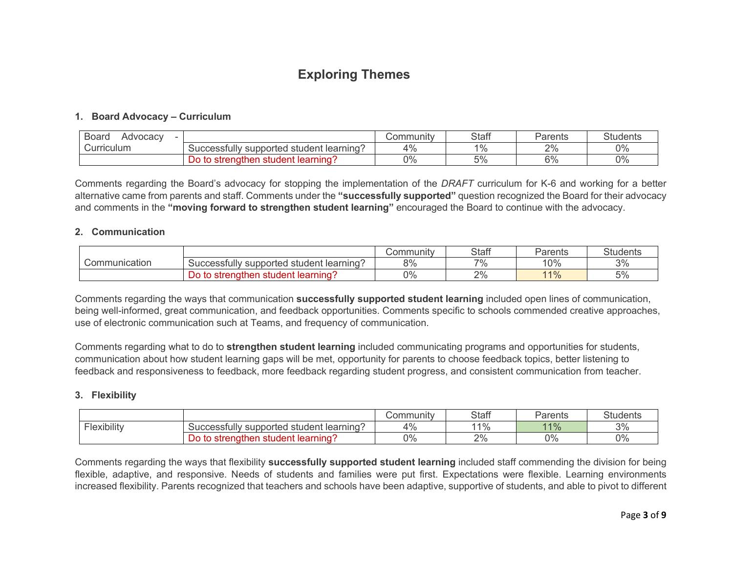# **Exploring Themes**

# **1. Board Advocacy – Curriculum**

| Board<br>Advocacy |                                                                           | .<br>ommunity<br>∵ا∪ت | <b>Staff</b> | Parents | <b>Students</b> |
|-------------------|---------------------------------------------------------------------------|-----------------------|--------------|---------|-----------------|
| Curriculum        | $\tilde{\phantom{a}}$<br>l student learning′<br>supported<br>Successtull∨ | 4%                    | 19/6         | 2%      | 0%              |
|                   | ⊧student learning′<br>∍strenathen<br>w                                    | 0%                    | 5%           | 6%      | 0%              |

Comments regarding the Board's advocacy for stopping the implementation of the *DRAFT* curriculum for K-6 and working for a better alternative came from parents and staff. Comments under the **"successfully supported"** question recognized the Board for their advocacy and comments in the **"moving forward to strengthen student learning"** encouraged the Board to continue with the advocacy.

#### **2. Communication**

|               |                                                       | Community | <b>Staff</b> | Parents | <b>Students</b> |
|---------------|-------------------------------------------------------|-----------|--------------|---------|-----------------|
| Communication | -<br>' student learning′<br>supported<br>Successfully | 8%        | $7\%$        | 10%     | 3%              |
|               | ≅student learning'.<br>∍strenat<br>.hen<br>ാറ         | 0%        | 2%           | 11%     | 5%              |

Comments regarding the ways that communication **successfully supported student learning** included open lines of communication, being well-informed, great communication, and feedback opportunities. Comments specific to schools commended creative approaches, use of electronic communication such at Teams, and frequency of communication.

Comments regarding what to do to **strengthen student learning** included communicating programs and opportunities for students, communication about how student learning gaps will be met, opportunity for parents to choose feedback topics, better listening to feedback and responsiveness to feedback, more feedback regarding student progress, and consistent communication from teacher.

### **3. Flexibility**

|                               |                                                              | ∶ommunitv<br>ا∪ت | <b>Staff</b> | Parents | <b>Students</b> |
|-------------------------------|--------------------------------------------------------------|------------------|--------------|---------|-----------------|
| - -<br>$\cdots$<br>Hexibility | Juccessfully<br>l student learning?<br>supported             | 4%               | 1%           | 11%     | 3%              |
|                               | learning <sup>®</sup><br>∍strenather<br>student<br>TO.<br>DΟ | 0%               | 2%           | 0%      | 0%              |

Comments regarding the ways that flexibility **successfully supported student learning** included staff commending the division for being flexible, adaptive, and responsive. Needs of students and families were put first. Expectations were flexible. Learning environments increased flexibility. Parents recognized that teachers and schools have been adaptive, supportive of students, and able to pivot to different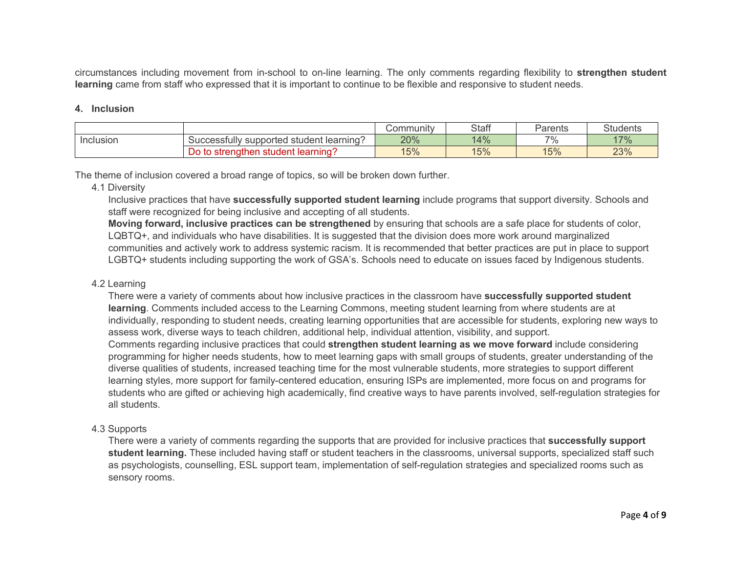circumstances including movement from in-school to on-line learning. The only comments regarding flexibility to **strengthen student learning** came from staff who expressed that it is important to continue to be flexible and responsive to student needs.

### **4. Inclusion**

|           |                                                    | Community | <b>Staff</b> | Parents | $\Omega$<br>Students |
|-----------|----------------------------------------------------|-----------|--------------|---------|----------------------|
| Inclusion | ˈ student learning?<br>' supported<br>Successfully | 20%       | 14%          | 7%      | 17%                  |
|           | student learning?<br>nen<br>strenath<br>to<br>◡    | 15%       | 15%          | 15%     | 23%                  |

The theme of inclusion covered a broad range of topics, so will be broken down further.

4.1 Diversity

Inclusive practices that have **successfully supported student learning** include programs that support diversity. Schools and staff were recognized for being inclusive and accepting of all students.

**Moving forward, inclusive practices can be strengthened** by ensuring that schools are a safe place for students of color, LQBTQ+, and individuals who have disabilities. It is suggested that the division does more work around marginalized communities and actively work to address systemic racism. It is recommended that better practices are put in place to support LGBTQ+ students including supporting the work of GSA's. Schools need to educate on issues faced by Indigenous students.

### 4.2 Learning

There were a variety of comments about how inclusive practices in the classroom have **successfully supported student learning**. Comments included access to the Learning Commons, meeting student learning from where students are at individually, responding to student needs, creating learning opportunities that are accessible for students, exploring new ways to assess work, diverse ways to teach children, additional help, individual attention, visibility, and support. Comments regarding inclusive practices that could **strengthen student learning as we move forward** include considering programming for higher needs students, how to meet learning gaps with small groups of students, greater understanding of the diverse qualities of students, increased teaching time for the most vulnerable students, more strategies to support different learning styles, more support for family-centered education, ensuring ISPs are implemented, more focus on and programs for students who are gifted or achieving high academically, find creative ways to have parents involved, self-regulation strategies for all students.

### 4.3 Supports

There were a variety of comments regarding the supports that are provided for inclusive practices that **successfully support student learning.** These included having staff or student teachers in the classrooms, universal supports, specialized staff such as psychologists, counselling, ESL support team, implementation of self-regulation strategies and specialized rooms such as sensory rooms.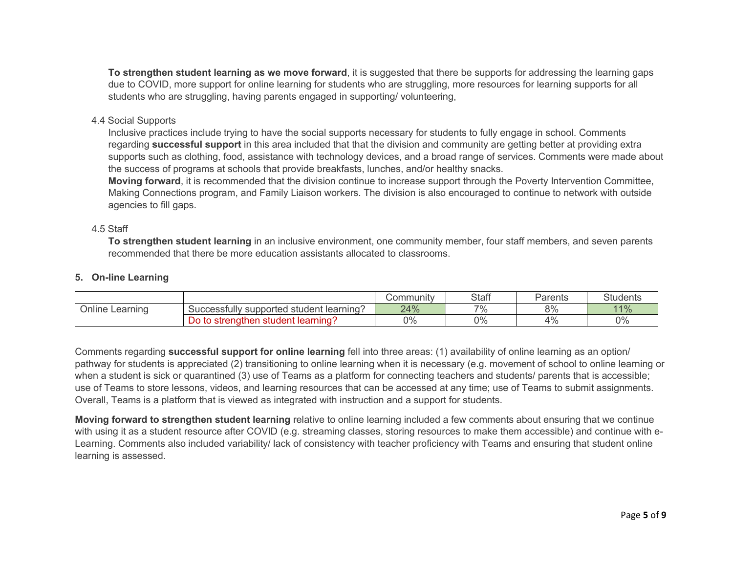**To strengthen student learning as we move forward**, it is suggested that there be supports for addressing the learning gaps due to COVID, more support for online learning for students who are struggling, more resources for learning supports for all students who are struggling, having parents engaged in supporting/ volunteering,

## 4.4 Social Supports

Inclusive practices include trying to have the social supports necessary for students to fully engage in school. Comments regarding **successful support** in this area included that that the division and community are getting better at providing extra supports such as clothing, food, assistance with technology devices, and a broad range of services. Comments were made about the success of programs at schools that provide breakfasts, lunches, and/or healthy snacks.

**Moving forward**, it is recommended that the division continue to increase support through the Poverty Intervention Committee, Making Connections program, and Family Liaison workers. The division is also encouraged to continue to network with outside agencies to fill gaps.

## 4.5 Staff

**To strengthen student learning** in an inclusive environment, one community member, four staff members, and seven parents recommended that there be more education assistants allocated to classrooms.

# **5. On-line Learning**

|                                  |                                                  | <b>Community</b> | <b>Staff</b> | Parents                | <b>Students</b> |
|----------------------------------|--------------------------------------------------|------------------|--------------|------------------------|-----------------|
| $\cdots$<br>∽<br>Online Learning | Successfully<br>l student learning?<br>supported | 24%              | $7\%$        | Q <sub>0</sub><br>O 70 | 11%             |
|                                  | Do<br>student learning's<br>⊦to strenathen       | 0%               | 0%           | $\Delta^{0}$<br>1 / U  | 0%              |

Comments regarding **successful support for online learning** fell into three areas: (1) availability of online learning as an option/ pathway for students is appreciated (2) transitioning to online learning when it is necessary (e.g. movement of school to online learning or when a student is sick or quarantined (3) use of Teams as a platform for connecting teachers and students/ parents that is accessible; use of Teams to store lessons, videos, and learning resources that can be accessed at any time; use of Teams to submit assignments. Overall, Teams is a platform that is viewed as integrated with instruction and a support for students.

**Moving forward to strengthen student learning** relative to online learning included a few comments about ensuring that we continue with using it as a student resource after COVID (e.g. streaming classes, storing resources to make them accessible) and continue with e-Learning. Comments also included variability/ lack of consistency with teacher proficiency with Teams and ensuring that student online learning is assessed.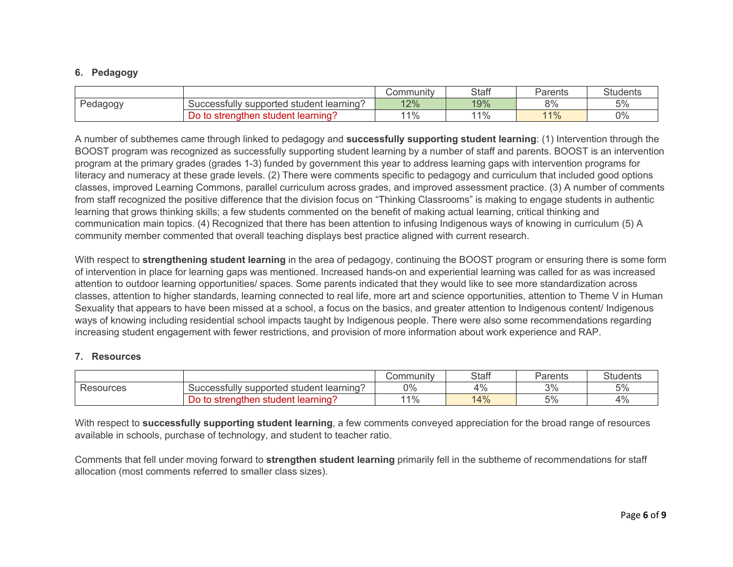# **6. Pedagogy**

|          |                                               | Community | <b>Staff</b> | Parents    | <b>Students</b> |
|----------|-----------------------------------------------|-----------|--------------|------------|-----------------|
| Pedagogy | l student learning′<br>Successfully supported | 12%       | 19%          | 8%         | 5%              |
|          | . learnınɑʻ<br>to strengthen<br>student       | $1\%$     | 140/<br>70   | 110/<br>70 | 0%              |

A number of subthemes came through linked to pedagogy and **successfully supporting student learning**: (1) Intervention through the BOOST program was recognized as successfully supporting student learning by a number of staff and parents. BOOST is an intervention program at the primary grades (grades 1-3) funded by government this year to address learning gaps with intervention programs for literacy and numeracy at these grade levels. (2) There were comments specific to pedagogy and curriculum that included good options classes, improved Learning Commons, parallel curriculum across grades, and improved assessment practice. (3) A number of comments from staff recognized the positive difference that the division focus on "Thinking Classrooms" is making to engage students in authentic learning that grows thinking skills; a few students commented on the benefit of making actual learning, critical thinking and communication main topics. (4) Recognized that there has been attention to infusing Indigenous ways of knowing in curriculum (5) A community member commented that overall teaching displays best practice aligned with current research.

With respect to **strengthening student learning** in the area of pedagogy, continuing the BOOST program or ensuring there is some form of intervention in place for learning gaps was mentioned. Increased hands-on and experiential learning was called for as was increased attention to outdoor learning opportunities/ spaces. Some parents indicated that they would like to see more standardization across classes, attention to higher standards, learning connected to real life, more art and science opportunities, attention to Theme V in Human Sexuality that appears to have been missed at a school, a focus on the basics, and greater attention to Indigenous content/ Indigenous ways of knowing including residential school impacts taught by Indigenous people. There were also some recommendations regarding increasing student engagement with fewer restrictions, and provision of more information about work experience and RAP.

# **7. Resources**

|           |                                                    | Community  | <b>Staff</b> | Parents          | <b>Students</b> |
|-----------|----------------------------------------------------|------------|--------------|------------------|-----------------|
| Resources | l student learning?<br>Successfully<br>' supported | 0%         | 4%           | 3%               | 5%              |
|           | student learning?<br>ner<br>strenath<br>to<br>◡    | 140/<br>70 | 14%          | $\tau$ 0/<br>570 | 4%              |

With respect to **successfully supporting student learning**, a few comments conveyed appreciation for the broad range of resources available in schools, purchase of technology, and student to teacher ratio.

Comments that fell under moving forward to **strengthen student learning** primarily fell in the subtheme of recommendations for staff allocation (most comments referred to smaller class sizes).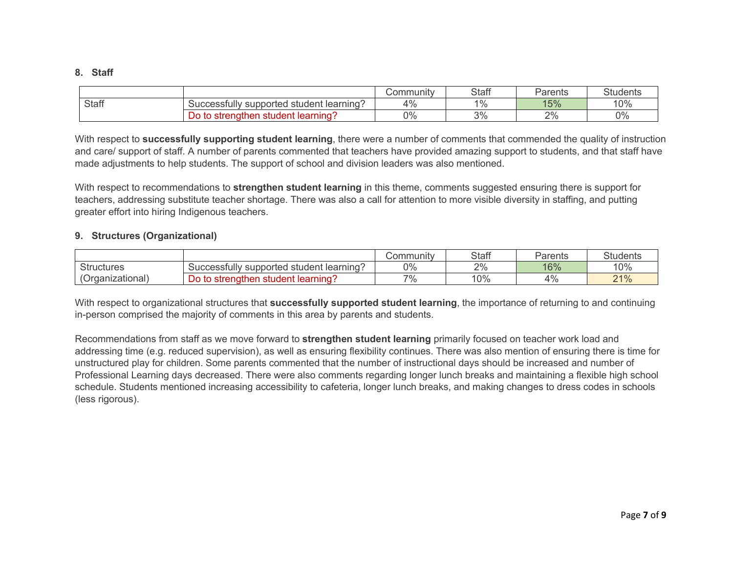#### **8. Staff**

|              |                                                         | Community                | <b>Staff</b>   | Parents | OL.<br>Students |
|--------------|---------------------------------------------------------|--------------------------|----------------|---------|-----------------|
| <b>Staff</b> | ∣ student learnıng'<br>supported<br><b>SUCCESSIUIIV</b> | $\Lambda$ <sup>O</sup> / | $\frac{10}{6}$ | 15%     | 10%             |
|              | learning <sup>-</sup><br>student<br>then<br>strength    | 0%                       | 3%             | 2%      | 0%              |

With respect to **successfully supporting student learning**, there were a number of comments that commended the quality of instruction and care/ support of staff. A number of parents commented that teachers have provided amazing support to students, and that staff have made adjustments to help students. The support of school and division leaders was also mentioned.

With respect to recommendations to **strengthen student learning** in this theme, comments suggested ensuring there is support for teachers, addressing substitute teacher shortage. There was also a call for attention to more visible diversity in staffing, and putting greater effort into hiring Indigenous teachers.

## **9. Structures (Organizational)**

|                   |                                                           | ;ommunity<br>יוטע. | <b>Staff</b> | Parents | <b>Students</b> |
|-------------------|-----------------------------------------------------------|--------------------|--------------|---------|-----------------|
| <b>Structures</b> | ∶learning'<br>supported<br>student<br><b>SUCCESSIUIIV</b> | 0%                 | 2%           | 16%     | 10%             |
| (Organizational)  | learning<br>≅student<br>∍strenatł<br>าen<br>to<br>טע      | 7%                 | 10%          | 4%      | 21%             |

With respect to organizational structures that **successfully supported student learning**, the importance of returning to and continuing in-person comprised the majority of comments in this area by parents and students.

Recommendations from staff as we move forward to **strengthen student learning** primarily focused on teacher work load and addressing time (e.g. reduced supervision), as well as ensuring flexibility continues. There was also mention of ensuring there is time for unstructured play for children. Some parents commented that the number of instructional days should be increased and number of Professional Learning days decreased. There were also comments regarding longer lunch breaks and maintaining a flexible high school schedule. Students mentioned increasing accessibility to cafeteria, longer lunch breaks, and making changes to dress codes in schools (less rigorous).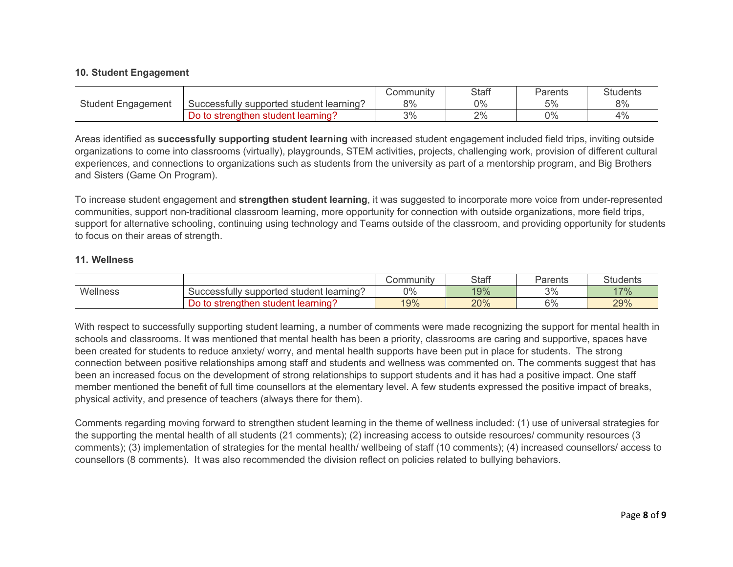### **10. Student Engagement**

|                       |                                                   | Community | <b>Staff</b> | Parents    | <b>Students</b> |
|-----------------------|---------------------------------------------------|-----------|--------------|------------|-----------------|
| Student<br>Engagement | l student learning´:<br>Successfully supported    | 8%        | 0%           | 50/<br>، ر | 8%              |
|                       | learning <sup>-</sup><br>to strengthen<br>student | 3%        | 2%           | 0%         | 4%              |

Areas identified as **successfully supporting student learning** with increased student engagement included field trips, inviting outside organizations to come into classrooms (virtually), playgrounds, STEM activities, projects, challenging work, provision of different cultural experiences, and connections to organizations such as students from the university as part of a mentorship program, and Big Brothers and Sisters (Game On Program).

To increase student engagement and **strengthen student learning**, it was suggested to incorporate more voice from under-represented communities, support non-traditional classroom learning, more opportunity for connection with outside organizations, more field trips, support for alternative schooling, continuing using technology and Teams outside of the classroom, and providing opportunity for students to focus on their areas of strength.

### **11. Wellness**

|          |                                                         | ;ommunity<br>UUI | <b>Staff</b> | Parents | $\Omega$<br>Students |
|----------|---------------------------------------------------------|------------------|--------------|---------|----------------------|
| Wellness | ∣ student learnıng'<br>supported<br><b>SUCCESSIUIIV</b> | 0%               | 19%          | 3%      | 17%                  |
|          | ∶learnınɑ<br>≞student<br>∈to strenathen<br>Do.          | 19%              | 20%          | 6%      | 29%                  |

With respect to successfully supporting student learning, a number of comments were made recognizing the support for mental health in schools and classrooms. It was mentioned that mental health has been a priority, classrooms are caring and supportive, spaces have been created for students to reduce anxiety/ worry, and mental health supports have been put in place for students. The strong connection between positive relationships among staff and students and wellness was commented on. The comments suggest that has been an increased focus on the development of strong relationships to support students and it has had a positive impact. One staff member mentioned the benefit of full time counsellors at the elementary level. A few students expressed the positive impact of breaks, physical activity, and presence of teachers (always there for them).

Comments regarding moving forward to strengthen student learning in the theme of wellness included: (1) use of universal strategies for the supporting the mental health of all students (21 comments); (2) increasing access to outside resources/ community resources (3 comments); (3) implementation of strategies for the mental health/ wellbeing of staff (10 comments); (4) increased counsellors/ access to counsellors (8 comments). It was also recommended the division reflect on policies related to bullying behaviors.